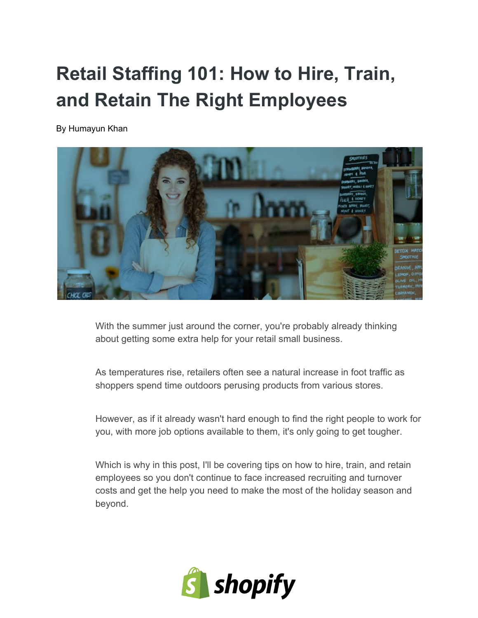# **Retail Staffing 101: How to Hire, Train, and Retain The Right Employees**

By Humayun Khan



With the summer just around the corner, you're probably already thinking about getting some extra help for your retail small business.

As temperatures rise, retailers often see a natural increase in foot traffic as shoppers spend time outdoors perusing products from various stores.

However, as if it already wasn't hard enough to find the right people to work for you, with more job options available to them, it's only going to get tougher.

Which is why in this post, I'll be covering tips on how to hire, train, and retain employees so you don't continue to face increased recruiting and turnover costs and get the help you need to make the most of the holiday season and beyond.

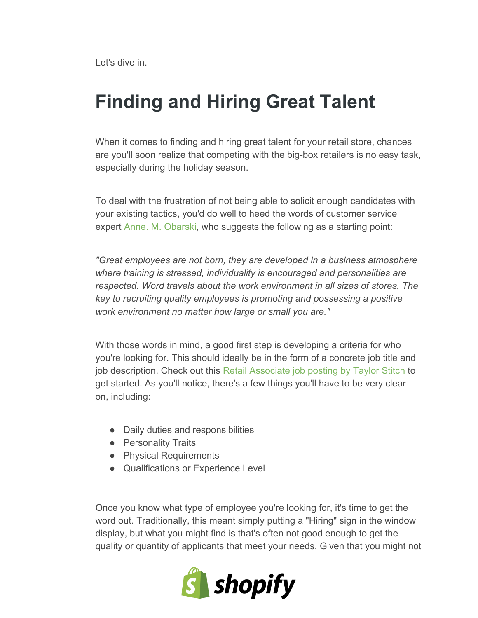Let's dive in.

### **Finding and Hiring Great Talent**

When it comes to finding and hiring great talent for your retail store, chances are you'll soon realize that competing with the big-box retailers is no easy task, especially during the holiday season.

To deal with the frustration of not being able to solicit enough candidates with your existing tactics, you'd do well to heed the words of customer service expert Anne. M. [Obarski,](http://www.sideroad.com/Retail_Services/hire-retail-employees.html) who suggests the following as a starting point:

*"Great employees are not born, they are developed in a business atmosphere where training is stressed, individuality is encouraged and personalities are respected. Word travels about the work environment in all sizes of stores. The key to recruiting quality employees is promoting and possessing a positive work environment no matter how large or small you are."*

With those words in mind, a good first step is developing a criteria for who you're looking for. This should ideally be in the form of a concrete job title and job description. Check out this Retail [Associate](https://www.smartrecruiters.com/TaylorStitch/78048450-retail-associate) job posting by Taylor Stitch to get started. As you'll notice, there's a few things you'll have to be very clear on, including:

- Daily duties and responsibilities
- Personality Traits
- Physical Requirements
- Qualifications or Experience Level

Once you know what type of employee you're looking for, it's time to get the word out. Traditionally, this meant simply putting a "Hiring" sign in the window display, but what you might find is that's often not good enough to get the quality or quantity of applicants that meet your needs. Given that you might not

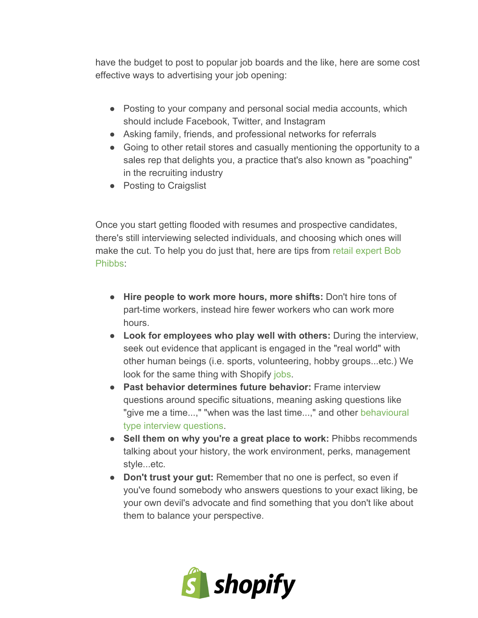have the budget to post to popular job boards and the like, here are some cost effective ways to advertising your job opening:

- Posting to your company and personal social media accounts, which should include Facebook, Twitter, and Instagram
- Asking family, friends, and professional networks for referrals
- Going to other retail stores and casually mentioning the opportunity to a sales rep that delights you, a practice that's also known as "poaching" in the recruiting industry
- Posting to Craigslist

Once you start getting flooded with resumes and prospective candidates, there's still interviewing selected individuals, and choosing which ones will make the cut. To help you do just that, here are tips from retail [expert](http://www.mastercardbiz.com/2013/09/11/how-to-hire-great-retail-employees/) Bob [Phibbs:](http://www.mastercardbiz.com/2013/09/11/how-to-hire-great-retail-employees/)

- **Hire people to work more hours, more shifts:**Don't hire tons of part-time workers, instead hire fewer workers who can work more hours.
- **Look for employees who play well with others:**During the interview, seek out evidence that applicant is engaged in the "real world" with other human beings (i.e. sports, volunteering, hobby groups...etc.) We look for the same thing with Shopify [jobs.](https://www.shopify.com/jobs)
- **Past behavior determines future behavior:**Frame interview questions around specific situations, meaning asking questions like "give me a time...," "when was the last time...," and other [behavioural](http://recruitloop.com/blog/behavioural-interview-questions/) type interview [questions.](http://recruitloop.com/blog/behavioural-interview-questions/)
- **Sell them on why you're a great place to work:**Phibbs recommends talking about your history, the work environment, perks, management style...etc.
- **Don't trust your gut:**Remember that no one is perfect, so even if you've found somebody who answers questions to your exact liking, be your own devil's advocate and find something that you don't like about them to balance your perspective.

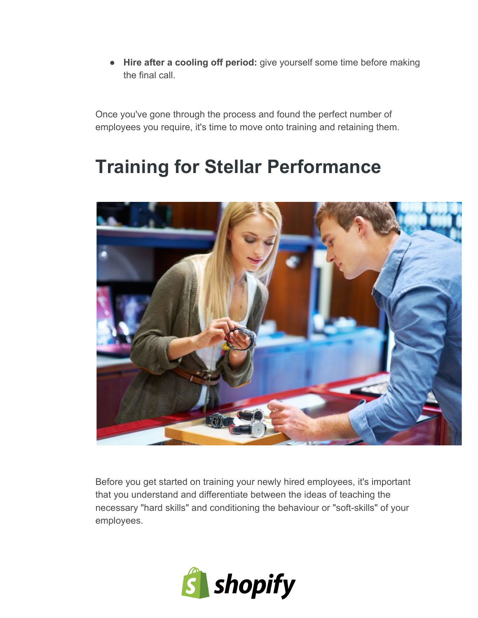● **Hire after a cooling off period:**give yourself some time before making the final call.

Once you've gone through the process and found the perfect number of employees you require, it's time to move onto training and retaining them.

## **Training for Stellar Performance**



Before you get started on training your newly hired employees, it's important that you understand and differentiate between the ideas of teaching the necessary "hard skills" and conditioning the behaviour or "soft-skills" of your employees.

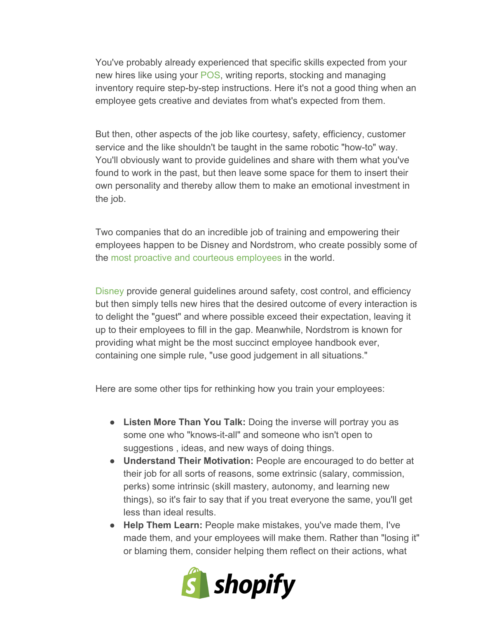You've probably already experienced that specific skills expected from your new hires like using your [POS,](http://www.shopify.com/pos) writing reports, stocking and managing inventory require step-by-step instructions. Here it's not a good thing when an employee gets creative and deviates from what's expected from them.

But then, other aspects of the job like courtesy, safety, efficiency, customer service and the like shouldn't be taught in the same robotic "how-to" way. You'll obviously want to provide guidelines and share with them what you've found to work in the past, but then leave some space for them to insert their own personality and thereby allow them to make an emotional investment in the job.

Two companies that do an incredible job of training and empowering their employees happen to be Disney and Nordstrom, who create possibly some of the most proactive and courteous [employees](http://www.shopify.com/blog/15517012-how-nordstrom-made-its-brand-synonymous-with-customer-service-and-how-you-can-too) in the world.

[Disney](http://www.trainingmag.com/content/inside-disney-u) provide general guidelines around safety, cost control, and efficiency but then simply tells new hires that the desired outcome of every interaction is to delight the "guest" and where possible exceed their expectation, leaving it up to their employees to fill in the gap. Meanwhile, Nordstrom is known for providing what might be the most succinct employee handbook ever, containing one simple rule, "use good judgement in all situations."

Here are some other tips for rethinking how you train your employees:

- **Listen More Than You Talk:**Doing the inverse will portray you as some one who "knows-it-all" and someone who isn't open to suggestions , ideas, and new ways of doing things.
- **Understand Their Motivation:**People are encouraged to do better at their job for all sorts of reasons, some extrinsic (salary, commission, perks) some intrinsic (skill mastery, autonomy, and learning new things), so it's fair to say that if you treat everyone the same, you'll get less than ideal results.
- **Help Them Learn:**People make mistakes, you've made them, I've made them, and your employees will make them. Rather than "losing it" or blaming them, consider helping them reflect on their actions, what

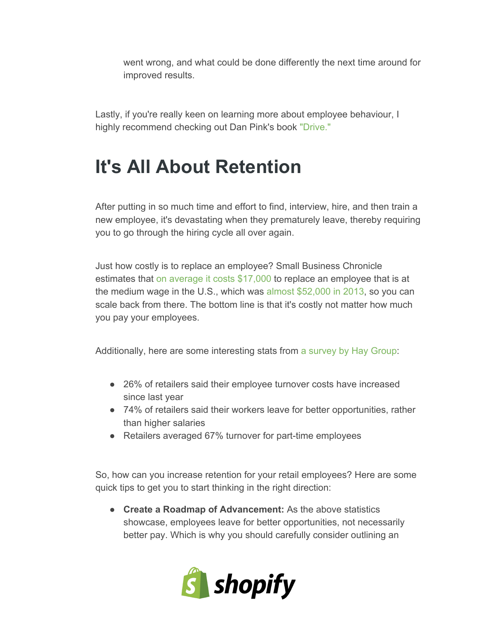went wrong, and what could be done differently the next time around for improved results.

Lastly, if you're really keen on learning more about employee behaviour, I highly recommend checking out Dan Pink's book ["Drive."](http://www.danpink.com/books/drive)

## **It's All About Retention**

After putting in so much time and effort to find, interview, hire, and then train a new employee, it's devastating when they prematurely leave, thereby requiring you to go through the hiring cycle all over again.

Just how costly is to replace an employee? Small Business Chronicle estimates that on average it costs [\\$17,000](http://hr.sparkhire.com/talent-management/how-high-turnover-impacts-your-employees/) to replace an employee that is at the medium wage in the U.S., which was almost [\\$52,000](http://en.wikipedia.org/wiki/Household_income_in_the_United_States) in 2013, so you can scale back from there. The bottom line is that it's costly not matter how much you pay your employees.

Additionally, here are some interesting stats from a [survey](https://www.sparkhire.com/video-interviews/hire-retail-employees-video-interviews) by Hay Group:

- 26% of retailers said their employee turnover costs have increased since last year
- 74% of retailers said their workers leave for better opportunities, rather than higher salaries
- Retailers averaged 67% turnover for part-time employees

So, how can you increase retention for your retail employees? Here are some quick tips to get you to start thinking in the right direction:

● **Create a Roadmap of Advancement:**As the above statistics showcase, employees leave for better opportunities, not necessarily better pay. Which is why you should carefully consider outlining an